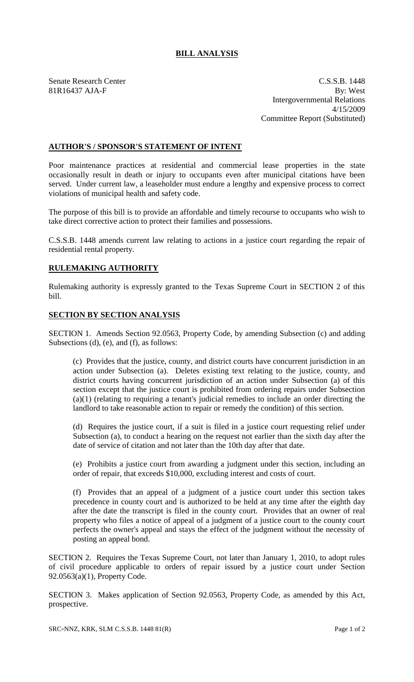## **BILL ANALYSIS**

Senate Research Center C.S.S.B. 1448 81R16437 AJA-F By: West Intergovernmental Relations 4/15/2009 Committee Report (Substituted)

## **AUTHOR'S / SPONSOR'S STATEMENT OF INTENT**

Poor maintenance practices at residential and commercial lease properties in the state occasionally result in death or injury to occupants even after municipal citations have been served. Under current law, a leaseholder must endure a lengthy and expensive process to correct violations of municipal health and safety code.

The purpose of this bill is to provide an affordable and timely recourse to occupants who wish to take direct corrective action to protect their families and possessions.

C.S.S.B. 1448 amends current law relating to actions in a justice court regarding the repair of residential rental property.

## **RULEMAKING AUTHORITY**

Rulemaking authority is expressly granted to the Texas Supreme Court in SECTION 2 of this bill.

## **SECTION BY SECTION ANALYSIS**

SECTION 1. Amends Section 92.0563, Property Code, by amending Subsection (c) and adding Subsections (d), (e), and (f), as follows:

(c) Provides that the justice, county, and district courts have concurrent jurisdiction in an action under Subsection (a). Deletes existing text relating to the justice, county, and district courts having concurrent jurisdiction of an action under Subsection (a) of this section except that the justice court is prohibited from ordering repairs under Subsection (a)(1) (relating to requiring a tenant's judicial remedies to include an order directing the landlord to take reasonable action to repair or remedy the condition) of this section.

(d) Requires the justice court, if a suit is filed in a justice court requesting relief under Subsection (a), to conduct a hearing on the request not earlier than the sixth day after the date of service of citation and not later than the 10th day after that date.

(e) Prohibits a justice court from awarding a judgment under this section, including an order of repair, that exceeds \$10,000, excluding interest and costs of court.

(f) Provides that an appeal of a judgment of a justice court under this section takes precedence in county court and is authorized to be held at any time after the eighth day after the date the transcript is filed in the county court. Provides that an owner of real property who files a notice of appeal of a judgment of a justice court to the county court perfects the owner's appeal and stays the effect of the judgment without the necessity of posting an appeal bond.

SECTION 2. Requires the Texas Supreme Court, not later than January 1, 2010, to adopt rules of civil procedure applicable to orders of repair issued by a justice court under Section 92.0563(a)(1), Property Code.

SECTION 3. Makes application of Section 92.0563, Property Code, as amended by this Act, prospective.